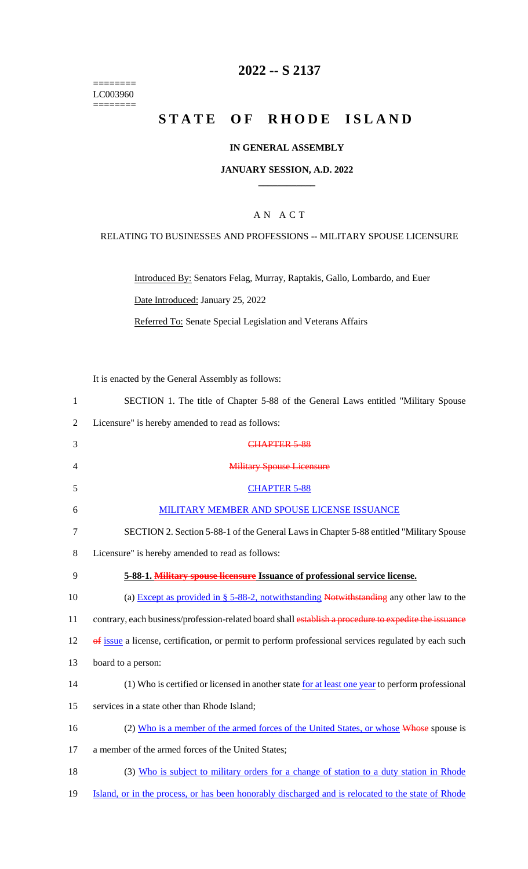======== LC003960  $=$ 

## **2022 -- S 2137**

# **STATE OF RHODE ISLAND**

#### **IN GENERAL ASSEMBLY**

#### **JANUARY SESSION, A.D. 2022 \_\_\_\_\_\_\_\_\_\_\_\_**

#### A N A C T

#### RELATING TO BUSINESSES AND PROFESSIONS -- MILITARY SPOUSE LICENSURE

Introduced By: Senators Felag, Murray, Raptakis, Gallo, Lombardo, and Euer Date Introduced: January 25, 2022

Referred To: Senate Special Legislation and Veterans Affairs

It is enacted by the General Assembly as follows:

| $\mathbf{1}$   | SECTION 1. The title of Chapter 5-88 of the General Laws entitled "Military Spouse                    |
|----------------|-------------------------------------------------------------------------------------------------------|
| $\overline{2}$ | Licensure" is hereby amended to read as follows:                                                      |
| 3              | CHAPTER 5-88                                                                                          |
| 4              | <b>Military Spouse Licensure</b>                                                                      |
| 5              | <b>CHAPTER 5-88</b>                                                                                   |
| 6              | MILITARY MEMBER AND SPOUSE LICENSE ISSUANCE                                                           |
| $\tau$         | SECTION 2. Section 5-88-1 of the General Laws in Chapter 5-88 entitled "Military Spouse               |
| 8              | Licensure" is hereby amended to read as follows:                                                      |
| 9              | 5-88-1. Military spouse licensure Issuance of professional service license.                           |
| 10             | (a) Except as provided in $\S$ 5-88-2, notwithstanding Notwithstanding any other law to the           |
| 11             | contrary, each business/profession-related board shall establish a procedure to expedite the issuance |
| 12             | of issue a license, certification, or permit to perform professional services regulated by each such  |
| 13             | board to a person:                                                                                    |
| 14             | (1) Who is certified or licensed in another state for at least one year to perform professional       |
| 15             | services in a state other than Rhode Island;                                                          |
| 16             | (2) Who is a member of the armed forces of the United States, or whose Whose spouse is                |
| 17             | a member of the armed forces of the United States;                                                    |
| 18             | (3) Who is subject to military orders for a change of station to a duty station in Rhode              |
| 19             | Island, or in the process, or has been honorably discharged and is relocated to the state of Rhode    |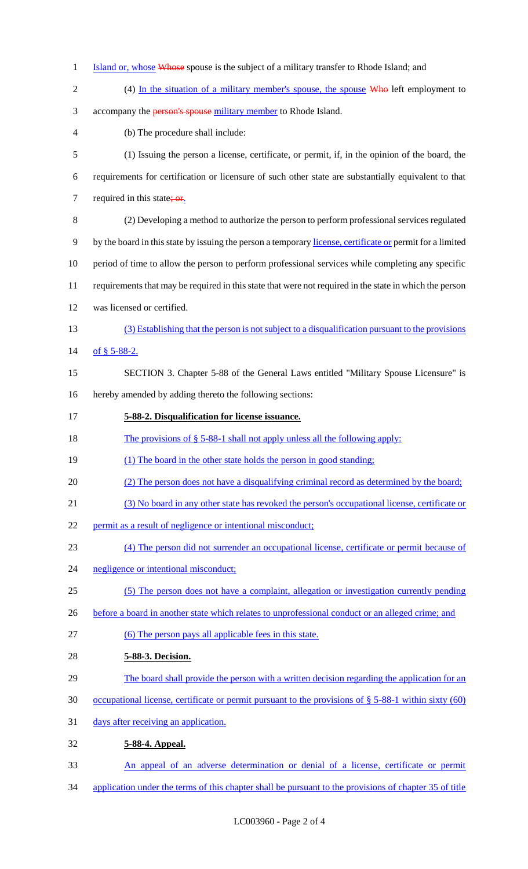- 1 Island or, whose Whose spouse is the subject of a military transfer to Rhode Island; and
- 2 (4) In the situation of a military member's spouse, the spouse Who left employment to 3 accompany the **person's spouse** military member to Rhode Island. (b) The procedure shall include: (1) Issuing the person a license, certificate, or permit, if, in the opinion of the board, the requirements for certification or licensure of such other state are substantially equivalent to that 7 required in this state;  $or$ . (2) Developing a method to authorize the person to perform professional services regulated 9 by the board in this state by issuing the person a temporary license, certificate or permit for a limited period of time to allow the person to perform professional services while completing any specific requirements that may be required in this state that were not required in the state in which the person was licensed or certified. (3) Establishing that the person is not subject to a disqualification pursuant to the provisions 14 of  $$5-88-2$ . SECTION 3. Chapter 5-88 of the General Laws entitled "Military Spouse Licensure" is hereby amended by adding thereto the following sections: **5-88-2. Disqualification for license issuance.**  18 The provisions of § 5-88-1 shall not apply unless all the following apply: 19 (1) The board in the other state holds the person in good standing; (2) The person does not have a disqualifying criminal record as determined by the board; (3) No board in any other state has revoked the person's occupational license, certificate or 22 permit as a result of negligence or intentional misconduct; (4) The person did not surrender an occupational license, certificate or permit because of negligence or intentional misconduct; (5) The person does not have a complaint, allegation or investigation currently pending 26 before a board in another state which relates to unprofessional conduct or an alleged crime; and (6) The person pays all applicable fees in this state. **5-88-3. Decision.**  29 The board shall provide the person with a written decision regarding the application for an occupational license, certificate or permit pursuant to the provisions of § 5-88-1 within sixty (60) 31 days after receiving an application. **5-88-4. Appeal.**
- An appeal of an adverse determination or denial of a license, certificate or permit
- application under the terms of this chapter shall be pursuant to the provisions of chapter 35 of title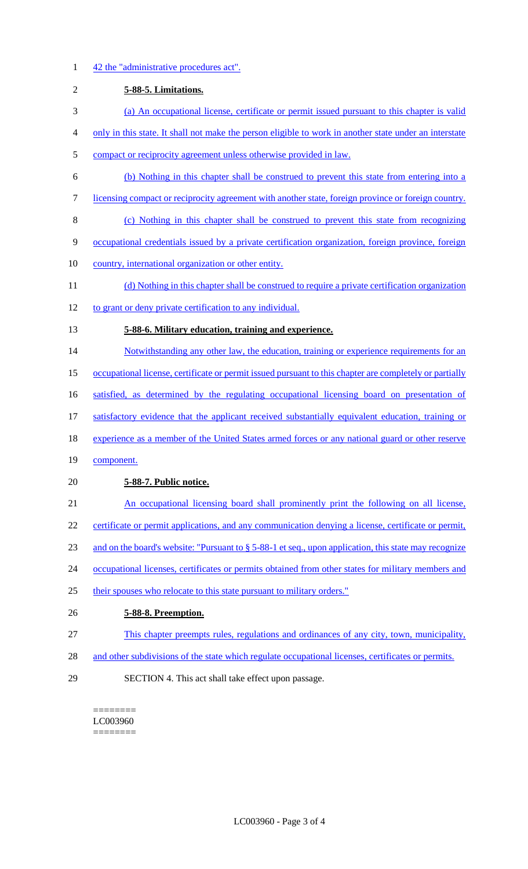| $\mathbf{1}$     | 42 the "administrative procedures act".                                                                 |
|------------------|---------------------------------------------------------------------------------------------------------|
| $\overline{2}$   | 5-88-5. Limitations.                                                                                    |
| 3                | (a) An occupational license, certificate or permit issued pursuant to this chapter is valid             |
| $\overline{4}$   | only in this state. It shall not make the person eligible to work in another state under an interstate  |
| 5                | compact or reciprocity agreement unless otherwise provided in law.                                      |
| 6                | (b) Nothing in this chapter shall be construed to prevent this state from entering into a               |
| $\boldsymbol{7}$ | licensing compact or reciprocity agreement with another state, foreign province or foreign country.     |
| $8\,$            | (c) Nothing in this chapter shall be construed to prevent this state from recognizing                   |
| 9                | occupational credentials issued by a private certification organization, foreign province, foreign      |
| 10               | country, international organization or other entity.                                                    |
| 11               | (d) Nothing in this chapter shall be construed to require a private certification organization          |
| 12               | to grant or deny private certification to any individual.                                               |
| 13               | 5-88-6. Military education, training and experience.                                                    |
| 14               | Notwithstanding any other law, the education, training or experience requirements for an                |
| 15               | occupational license, certificate or permit issued pursuant to this chapter are completely or partially |
| 16               | satisfied, as determined by the regulating occupational licensing board on presentation of              |
| 17               | satisfactory evidence that the applicant received substantially equivalent education, training or       |
| 18               | experience as a member of the United States armed forces or any national guard or other reserve         |
| 19               | component.                                                                                              |
| 20               | 5-88-7. Public notice.                                                                                  |
| 21               | An occupational licensing board shall prominently print the following on all license,                   |
| 22               | certificate or permit applications, and any communication denying a license, certificate or permit,     |
| 23               | and on the board's website: "Pursuant to § 5-88-1 et seq., upon application, this state may recognize   |
| 24               | occupational licenses, certificates or permits obtained from other states for military members and      |
| 25               | their spouses who relocate to this state pursuant to military orders."                                  |
| 26               | 5-88-8. Preemption.                                                                                     |
| 27               | This chapter preempts rules, regulations and ordinances of any city, town, municipality,                |
| 28               | and other subdivisions of the state which regulate occupational licenses, certificates or permits.      |
| 29               | SECTION 4. This act shall take effect upon passage.                                                     |

 $=$ LC003960 ========